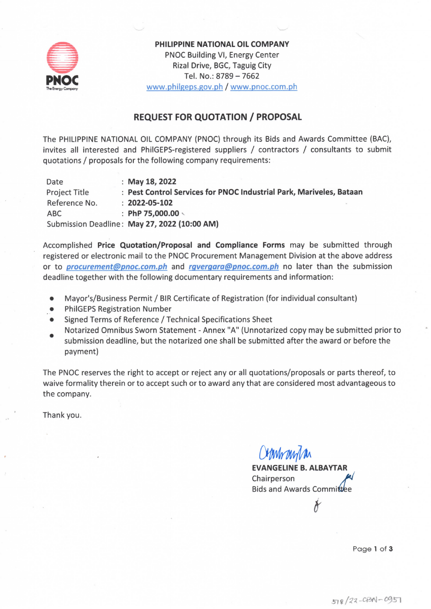

PHILIPPINE NATIONAL OIL COMPANY PNOC Building VI, Energy Center Rizal Drive, BGC, Taguig City Tel. No.: 8789 - 7662 www.philgeps.gov.ph / www.pnoc.com.ph

### **REQUEST FOR QUOTATION / PROPOSAL**

The PHILIPPINE NATIONAL OIL COMPANY (PNOC) through its Bids and Awards Committee (BAC), invites all interested and PhilGEPS-registered suppliers / contractors / consultants to submit quotations / proposals for the following company requirements:

Date : May 18, 2022 : Pest Control Services for PNOC Industrial Park, Mariveles, Bataan Project Title Reference No.  $: 2022 - 05 - 102$ : PhP 75,000.00  $\backslash$ **ABC** Submission Deadline: May 27, 2022 (10:00 AM)

Accomplished Price Quotation/Proposal and Compliance Forms may be submitted through registered or electronic mail to the PNOC Procurement Management Division at the above address or to *procurement@pnoc.com.ph* and *rgvergara@pnoc.com.ph* no later than the submission deadline together with the following documentary requirements and information:

- Mayor's/Business Permit / BIR Certificate of Registration (for individual consultant)
- **PhilGEPS Registration Number**
- Signed Terms of Reference / Technical Specifications Sheet
- Notarized Omnibus Sworn Statement Annex "A" (Unnotarized copy may be submitted prior to submission deadline, but the notarized one shall be submitted after the award or before the

The PNOC reserves the right to accept or reject any or all quotations/proposals or parts thereof, to waive formality therein or to accept such or to award any that are considered most advantageous to the company.

Thank you.

payment)

Obrnhanda

**EVANGELINE B. ALBAYTAR** Chairperson Bids and Awards Committee

Page 1 of 3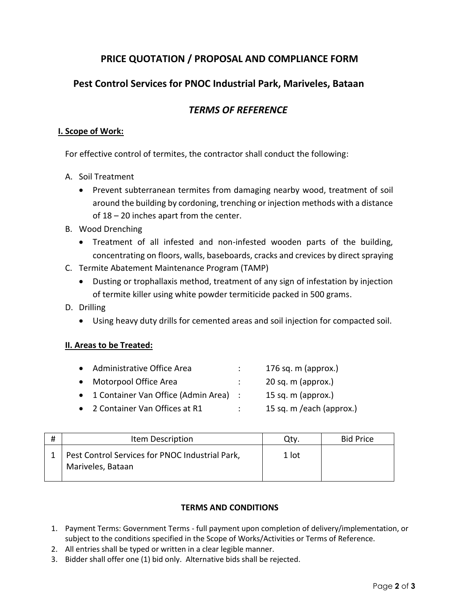# **PRICE QUOTATION / PROPOSAL AND COMPLIANCE FORM**

# **Pest Control Services for PNOC Industrial Park, Mariveles, Bataan**

## *TERMS OF REFERENCE*

#### **I. Scope of Work:**

For effective control of termites, the contractor shall conduct the following:

- A. Soil Treatment
	- Prevent subterranean termites from damaging nearby wood, treatment of soil around the building by cordoning, trenching or injection methods with a distance of 18 – 20 inches apart from the center.
- B. Wood Drenching
	- Treatment of all infested and non-infested wooden parts of the building, concentrating on floors, walls, baseboards, cracks and crevices by direct spraying
- C. Termite Abatement Maintenance Program (TAMP)
	- Dusting or trophallaxis method, treatment of any sign of infestation by injection of termite killer using white powder termiticide packed in 500 grams.
- D. Drilling
	- Using heavy duty drills for cemented areas and soil injection for compacted soil.

#### **II. Areas to be Treated:**

| Administrative Office Area              | 176 sq. $m$ (approx.)    |
|-----------------------------------------|--------------------------|
| Motorpool Office Area                   | 20 sq. m (approx.)       |
| • 1 Container Van Office (Admin Area) : | 15 sq. m (approx.)       |
| • 2 Container Van Offices at R1         | 15 sq. m /each (approx.) |
|                                         |                          |

| # | Item Description                                                     | Qtv.  | <b>Bid Price</b> |
|---|----------------------------------------------------------------------|-------|------------------|
|   | Pest Control Services for PNOC Industrial Park,<br>Mariveles, Bataan | 1 lot |                  |

#### **TERMS AND CONDITIONS**

- 1. Payment Terms: Government Terms full payment upon completion of delivery/implementation, or subject to the conditions specified in the Scope of Works/Activities or Terms of Reference.
- 2. All entries shall be typed or written in a clear legible manner.
- 3. Bidder shall offer one (1) bid only. Alternative bids shall be rejected.